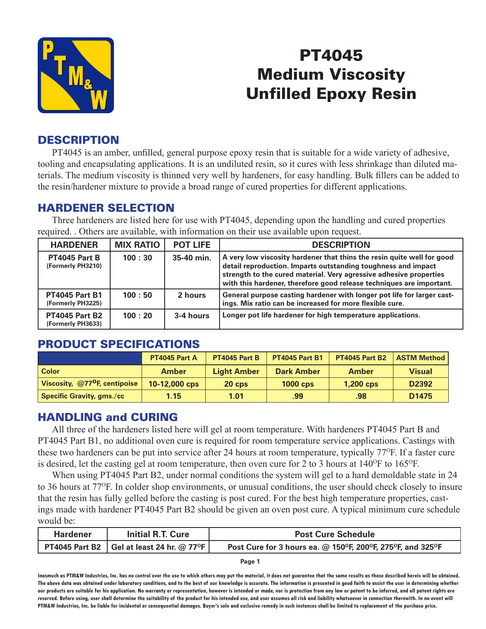

# PT4045 Medium Viscosity Unfilled Epoxy Resin

# **DESCRIPTION**

 PT4045 is an amber, unfilled, general purpose epoxy resin that is suitable for a wide variety of adhesive, tooling and encapsulating applications. It is an undiluted resin, so it cures with less shrinkage than diluted materials. The medium viscosity is thinned very well by hardeners, for easy handling. Bulk fillers can be added to the resin/hardener mixture to provide a broad range of cured properties for different applications.

### HARDENER SELECTION

 Three hardeners are listed here for use with PT4045, depending upon the handling and cured properties required. . Others are available, with information on their use available upon request.

| <b>HARDENER</b>                            | <b>MIX RATIO</b> | <b>POT LIFE</b> | <b>DESCRIPTION</b>                                                                                                                                                                                                                                                                    |
|--------------------------------------------|------------------|-----------------|---------------------------------------------------------------------------------------------------------------------------------------------------------------------------------------------------------------------------------------------------------------------------------------|
| PT4045 Part B<br>(Formerly PH3210)         | 100:30           | 35-40 min.      | A very low viscosity hardener that thins the resin quite well for good<br>detail reproduction. Imparts outstanding toughness and impact<br>strength to the cured material. Very agressive adhesive properties<br>with this hardener, therefore good release techniques are important. |
| <b>PT4045 Part B1</b><br>(Formerly PH3225) | 100:50           | 2 hours         | General purpose casting hardener with longer pot life for larger cast-<br>ings. Mix ratio can be increased for more flexible cure.                                                                                                                                                    |
| <b>PT4045 Part B2</b><br>(Formerly PH3633) | 100:20           | 3-4 hours       | Longer pot life hardener for high temperature applications.                                                                                                                                                                                                                           |

# PRODUCT SPECIFICATIONS

|                                             | PT4045 Part A | PT4045 Part B      | <b>PT4045 Part B1</b> | <b>PT4045 Part B2</b> | <b>ASTM Method</b> |
|---------------------------------------------|---------------|--------------------|-----------------------|-----------------------|--------------------|
| <b>Color</b>                                | <b>Amber</b>  | <b>Light Amber</b> | <b>Dark Amber</b>     | <b>Amber</b>          | <b>Visual</b>      |
| Viscosity, $@77$ <sup>O</sup> F, centipoise | 10-12,000 cps | $20$ cps           | $1000$ cps            | $1,200$ cps           | D2392              |
| <b>Specific Gravity, gms./cc</b>            | 1.15          | 1.01               | .99 <sub>°</sub>      | .98                   | D <sub>1475</sub>  |

# HANDLING and CURING

 All three of the hardeners listed here will gel at room temperature. With hardeners PT4045 Part B and PT4045 Part B1, no additional oven cure is required for room temperature service applications. Castings with these two hardeners can be put into service after 24 hours at room temperature, typically 77<sup>o</sup>F. If a faster cure is desired, let the casting gel at room temperature, then oven cure for 2 to 3 hours at  $140^{\circ}$ F to  $165^{\circ}$ F.

 When using PT4045 Part B2, under normal conditions the system will gel to a hard demoldable state in 24 to 36 hours at 77OF. In colder shop environments, or unusual conditions, the user should check closely to insure that the resin has fully gelled before the casting is post cured. For the best high temperature properties, castings made with hardener PT4045 Part B2 should be given an oven post cure. A typical minimum cure schedule would be:

| <b>Hardener</b> | <b>Initial R.T. Cure</b>                    | <b>Post Cure Schedule</b>                                  |  |
|-----------------|---------------------------------------------|------------------------------------------------------------|--|
|                 | PT4045 Part B2   Gel at least 24 hr. @ 77°F | Post Cure for 3 hours ea. @ 150°F, 200°F, 275°F, and 325°F |  |

**Page 1**

**Inasmuch as PTM&W Industries, Inc. has no control over the use to which others may put the material, it does not guarantee that the same results as those described hereis will be obtained.**  The above data was obtained under laboratory conditions, and to the best of our knowledge is accurate. The information is presented in good faith to assist the user in determining whether **our products are suitable for his application. No warranty or representation, however is intended or made, nor is protection from any law or patent to be inferred, and all patent rights are**  reserved. Before using, user shall determine the suitability of the product for his intended use, and user assumes all risk and liability whatsoever in connection therewith. In no event will **PTM&W Industries, Inc. be liable for incidental or consequential damages. Buyer's sole and exclusive remedy in such instances shall be limited to replacement of the purchase price.**